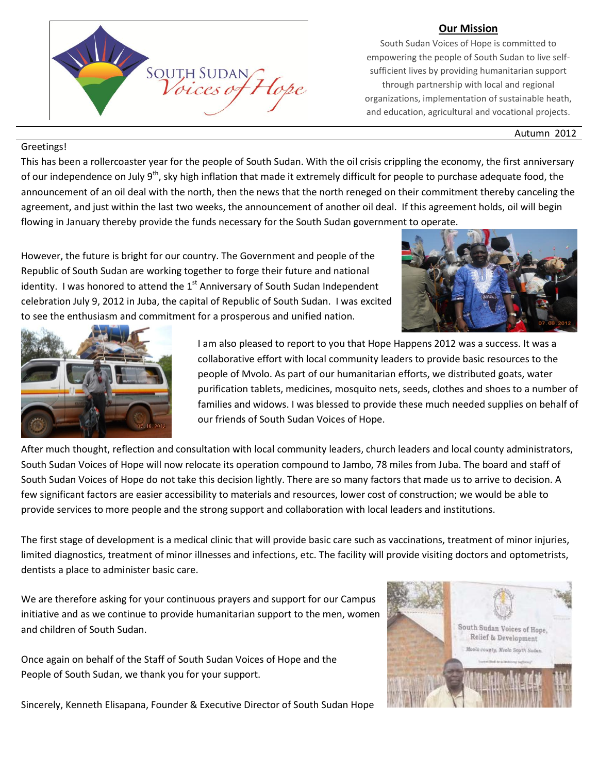#### **Our Mission**



South Sudan Voices of Hope is committed to empowering the people of South Sudan to live selfsufficient lives by providing humanitarian support through partnership with local and regional organizations, implementation of sustainable heath, and education, agricultural and vocational projects.

Autumn 2012

#### Greetings!

This has been a rollercoaster year for the people of South Sudan. With the oil crisis crippling the economy, the first anniversary of our independence on July  $9<sup>th</sup>$ , sky high inflation that made it extremely difficult for people to purchase adequate food, the announcement of an oil deal with the north, then the news that the north reneged on their commitment thereby canceling the agreement, and just within the last two weeks, the announcement of another oil deal. If this agreement holds, oil will begin flowing in January thereby provide the funds necessary for the South Sudan government to operate.

However, the future is bright for our country. The Government and people of the Republic of South Sudan are working together to forge their future and national identity. I was honored to attend the  $1<sup>st</sup>$  Anniversary of South Sudan Independent celebration July 9, 2012 in Juba, the capital of Republic of South Sudan. I was excited to see the enthusiasm and commitment for a prosperous and unified nation.





I am also pleased to report to you that Hope Happens 2012 was a success. It was a collaborative effort with local community leaders to provide basic resources to the people of Mvolo. As part of our humanitarian efforts, we distributed goats, water purification tablets, medicines, mosquito nets, seeds, clothes and shoes to a number of families and widows. I was blessed to provide these much needed supplies on behalf of our friends of South Sudan Voices of Hope.

After much thought, reflection and consultation with local community leaders, church leaders and local county administrators, South Sudan Voices of Hope will now relocate its operation compound to Jambo, 78 miles from Juba. The board and staff of South Sudan Voices of Hope do not take this decision lightly. There are so many factors that made us to arrive to decision. A few significant factors are easier accessibility to materials and resources, lower cost of construction; we would be able to provide services to more people and the strong support and collaboration with local leaders and institutions.

The first stage of development is a medical clinic that will provide basic care such as vaccinations, treatment of minor injuries, limited diagnostics, treatment of minor illnesses and infections, etc. The facility will provide visiting doctors and optometrists, dentists a place to administer basic care.

We are therefore asking for your continuous prayers and support for our Campus initiative and as we continue to provide humanitarian support to the men, women and children of South Sudan.

Once again on behalf of the Staff of South Sudan Voices of Hope and the People of South Sudan, we thank you for your support.